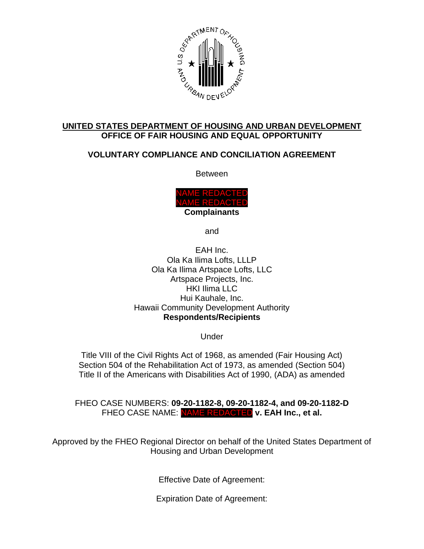

### **UNITED STATES DEPARTMENT OF HOUSING AND URBAN DEVELOPMENT OFFICE OF FAIR HOUSING AND EQUAL OPPORTUNITY**

## **VOLUNTARY COMPLIANCE AND CONCILIATION AGREEMENT**

Between

NAME REDACTED NAME REDACTED **Complainants**

and

EAH Inc. Ola Ka Ilima Lofts, LLLP Ola Ka Ilima Artspace Lofts, LLC Artspace Projects, Inc. HKI Ilima LLC Hui Kauhale, Inc. Hawaii Community Development Authority **Respondents/Recipients**

Under

Title VIII of the Civil Rights Act of 1968, as amended (Fair Housing Act) Section 504 of the Rehabilitation Act of 1973, as amended (Section 504) Title II of the Americans with Disabilities Act of 1990, (ADA) as amended

FHEO CASE NUMBERS: **09-20-1182-8, 09-20-1182-4, and 09-20-1182-D** FHEO CASE NAME: NAME REDACTED **v. EAH Inc., et al.**

Approved by the FHEO Regional Director on behalf of the United States Department of Housing and Urban Development

Effective Date of Agreement:

Expiration Date of Agreement: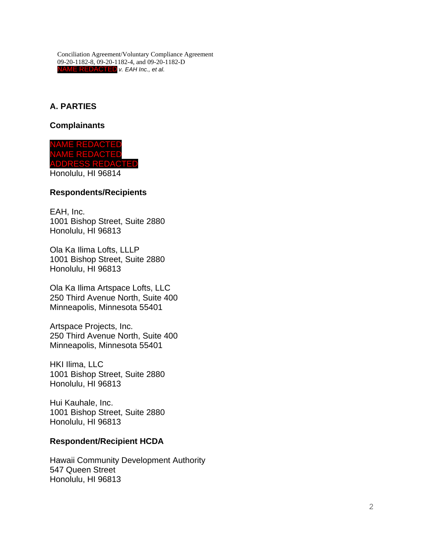**A. PARTIES**

**Complainants**



#### **Respondents/Recipients**

EAH, Inc. 1001 Bishop Street, Suite 2880 Honolulu, HI 96813

Ola Ka Ilima Lofts, LLLP 1001 Bishop Street, Suite 2880 Honolulu, HI 96813

Ola Ka Ilima Artspace Lofts, LLC 250 Third Avenue North, Suite 400 Minneapolis, Minnesota 55401

Artspace Projects, Inc. 250 Third Avenue North, Suite 400 Minneapolis, Minnesota 55401

HKI Ilima, LLC 1001 Bishop Street, Suite 2880 Honolulu, HI 96813

Hui Kauhale, Inc. 1001 Bishop Street, Suite 2880 Honolulu, HI 96813

#### **Respondent/Recipient HCDA**

Hawaii Community Development Authority 547 Queen Street Honolulu, HI 96813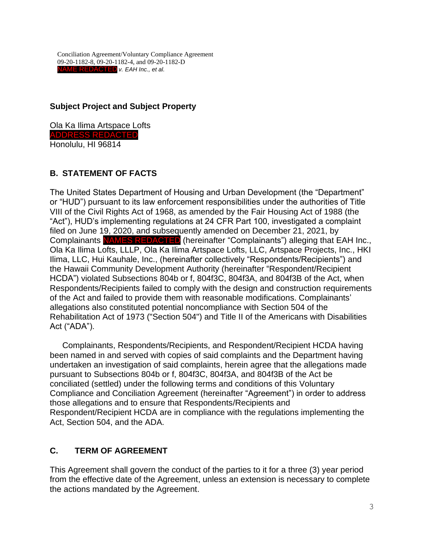### **Subject Project and Subject Property**

Ola Ka Ilima Artspace Lofts ADDRESS REDACTED Honolulu, HI 96814

# **B. STATEMENT OF FACTS**

The United States Department of Housing and Urban Development (the "Department" or "HUD") pursuant to its law enforcement responsibilities under the authorities of Title VIII of the Civil Rights Act of 1968, as amended by the Fair Housing Act of 1988 (the "Act"), HUD's implementing regulations at 24 CFR Part 100, investigated a complaint filed on June 19, 2020, and subsequently amended on December 21, 2021, by Complainants NAMES REDACTED (hereinafter "Complainants") alleging that EAH Inc., Ola Ka Ilima Lofts, LLLP, Ola Ka Ilima Artspace Lofts, LLC, Artspace Projects, Inc., HKI Ilima, LLC, Hui Kauhale, Inc., (hereinafter collectively "Respondents/Recipients") and the Hawaii Community Development Authority (hereinafter "Respondent/Recipient HCDA") violated Subsections 804b or f, 804f3C, 804f3A, and 804f3B of the Act, when Respondents/Recipients failed to comply with the design and construction requirements of the Act and failed to provide them with reasonable modifications. Complainants' allegations also constituted potential noncompliance with Section 504 of the Rehabilitation Act of 1973 ("Section 504") and Title II of the Americans with Disabilities Act ("ADA").

Complainants, Respondents/Recipients, and Respondent/Recipient HCDA having been named in and served with copies of said complaints and the Department having undertaken an investigation of said complaints, herein agree that the allegations made pursuant to Subsections 804b or f, 804f3C, 804f3A, and 804f3B of the Act be conciliated (settled) under the following terms and conditions of this Voluntary Compliance and Conciliation Agreement (hereinafter "Agreement") in order to address those allegations and to ensure that Respondents/Recipients and Respondent/Recipient HCDA are in compliance with the regulations implementing the Act, Section 504, and the ADA.

### **C. TERM OF AGREEMENT**

This Agreement shall govern the conduct of the parties to it for a three (3) year period from the effective date of the Agreement, unless an extension is necessary to complete the actions mandated by the Agreement.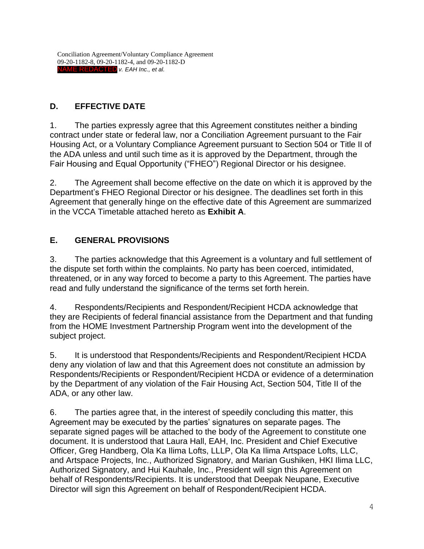# **D. EFFECTIVE DATE**

1. The parties expressly agree that this Agreement constitutes neither a binding contract under state or federal law, nor a Conciliation Agreement pursuant to the Fair Housing Act, or a Voluntary Compliance Agreement pursuant to Section 504 or Title II of the ADA unless and until such time as it is approved by the Department, through the Fair Housing and Equal Opportunity ("FHEO") Regional Director or his designee.

2. The Agreement shall become effective on the date on which it is approved by the Department's FHEO Regional Director or his designee. The deadlines set forth in this Agreement that generally hinge on the effective date of this Agreement are summarized in the VCCA Timetable attached hereto as **Exhibit A**.

## **E. GENERAL PROVISIONS**

3. The parties acknowledge that this Agreement is a voluntary and full settlement of the dispute set forth within the complaints. No party has been coerced, intimidated, threatened, or in any way forced to become a party to this Agreement. The parties have read and fully understand the significance of the terms set forth herein.

4. Respondents/Recipients and Respondent/Recipient HCDA acknowledge that they are Recipients of federal financial assistance from the Department and that funding from the HOME Investment Partnership Program went into the development of the subject project.

5. It is understood that Respondents/Recipients and Respondent/Recipient HCDA deny any violation of law and that this Agreement does not constitute an admission by Respondents/Recipients or Respondent/Recipient HCDA or evidence of a determination by the Department of any violation of the Fair Housing Act, Section 504, Title II of the ADA, or any other law.

6. The parties agree that, in the interest of speedily concluding this matter, this Agreement may be executed by the parties' signatures on separate pages. The separate signed pages will be attached to the body of the Agreement to constitute one document. It is understood that Laura Hall, EAH, Inc. President and Chief Executive Officer, Greg Handberg, Ola Ka Ilima Lofts, LLLP, Ola Ka Ilima Artspace Lofts, LLC, and Artspace Projects, Inc., Authorized Signatory, and Marian Gushiken, HKI Ilima LLC, Authorized Signatory, and Hui Kauhale, Inc., President will sign this Agreement on behalf of Respondents/Recipients. It is understood that Deepak Neupane, Executive Director will sign this Agreement on behalf of Respondent/Recipient HCDA.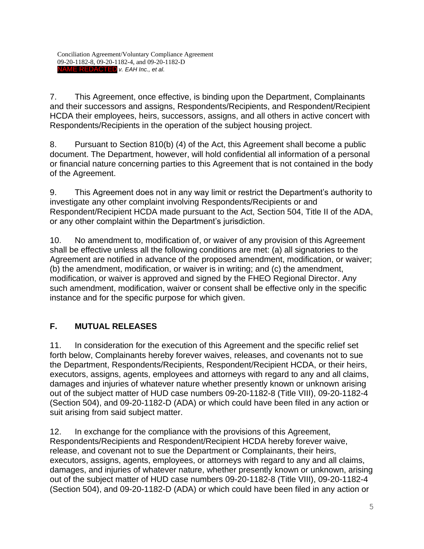7. This Agreement, once effective, is binding upon the Department, Complainants and their successors and assigns, Respondents/Recipients, and Respondent/Recipient HCDA their employees, heirs, successors, assigns, and all others in active concert with Respondents/Recipients in the operation of the subject housing project.

8. Pursuant to Section 810(b) (4) of the Act, this Agreement shall become a public document. The Department, however, will hold confidential all information of a personal or financial nature concerning parties to this Agreement that is not contained in the body of the Agreement.

9. This Agreement does not in any way limit or restrict the Department's authority to investigate any other complaint involving Respondents/Recipients or and Respondent/Recipient HCDA made pursuant to the Act, Section 504, Title II of the ADA, or any other complaint within the Department's jurisdiction.

10. No amendment to, modification of, or waiver of any provision of this Agreement shall be effective unless all the following conditions are met: (a) all signatories to the Agreement are notified in advance of the proposed amendment, modification, or waiver; (b) the amendment, modification, or waiver is in writing; and (c) the amendment, modification, or waiver is approved and signed by the FHEO Regional Director. Any such amendment, modification, waiver or consent shall be effective only in the specific instance and for the specific purpose for which given.

# **F. MUTUAL RELEASES**

11. In consideration for the execution of this Agreement and the specific relief set forth below, Complainants hereby forever waives, releases, and covenants not to sue the Department, Respondents/Recipients, Respondent/Recipient HCDA, or their heirs, executors, assigns, agents, employees and attorneys with regard to any and all claims, damages and injuries of whatever nature whether presently known or unknown arising out of the subject matter of HUD case numbers 09-20-1182-8 (Title VIII), 09-20-1182-4 (Section 504), and 09-20-1182-D (ADA) or which could have been filed in any action or suit arising from said subject matter.

12. In exchange for the compliance with the provisions of this Agreement, Respondents/Recipients and Respondent/Recipient HCDA hereby forever waive, release, and covenant not to sue the Department or Complainants, their heirs, executors, assigns, agents, employees, or attorneys with regard to any and all claims, damages, and injuries of whatever nature, whether presently known or unknown, arising out of the subject matter of HUD case numbers 09-20-1182-8 (Title VIII), 09-20-1182-4 (Section 504), and 09-20-1182-D (ADA) or which could have been filed in any action or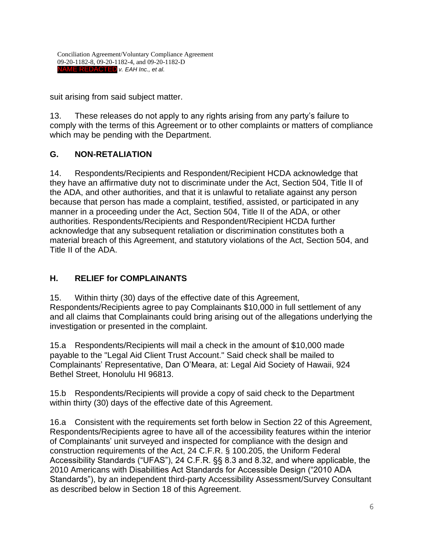suit arising from said subject matter.

13. These releases do not apply to any rights arising from any party's failure to comply with the terms of this Agreement or to other complaints or matters of compliance which may be pending with the Department.

### **G. NON-RETALIATION**

14. Respondents/Recipients and Respondent/Recipient HCDA acknowledge that they have an affirmative duty not to discriminate under the Act, Section 504, Title II of the ADA, and other authorities, and that it is unlawful to retaliate against any person because that person has made a complaint, testified, assisted, or participated in any manner in a proceeding under the Act, Section 504, Title II of the ADA, or other authorities. Respondents/Recipients and Respondent/Recipient HCDA further acknowledge that any subsequent retaliation or discrimination constitutes both a material breach of this Agreement, and statutory violations of the Act, Section 504, and Title II of the ADA.

### **H. RELIEF for COMPLAINANTS**

15. Within thirty (30) days of the effective date of this Agreement, Respondents/Recipients agree to pay Complainants \$10,000 in full settlement of any and all claims that Complainants could bring arising out of the allegations underlying the investigation or presented in the complaint.

15.a Respondents/Recipients will mail a check in the amount of \$10,000 made payable to the "Legal Aid Client Trust Account." Said check shall be mailed to Complainants' Representative, Dan O'Meara, at: Legal Aid Society of Hawaii, 924 Bethel Street, Honolulu HI 96813.

15.b Respondents/Recipients will provide a copy of said check to the Department within thirty (30) days of the effective date of this Agreement.

16.a Consistent with the requirements set forth below in Section 22 of this Agreement, Respondents/Recipients agree to have all of the accessibility features within the interior of Complainants' unit surveyed and inspected for compliance with the design and construction requirements of the Act, 24 C.F.R. § 100.205, the Uniform Federal Accessibility Standards ("UFAS"), 24 C.F.R. §§ 8.3 and 8.32, and where applicable, the 2010 Americans with Disabilities Act Standards for Accessible Design ("2010 ADA Standards"), by an independent third-party Accessibility Assessment/Survey Consultant as described below in Section 18 of this Agreement.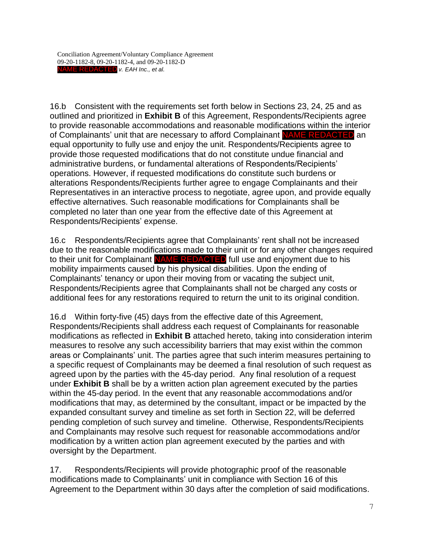16.b Consistent with the requirements set forth below in Sections 23, 24, 25 and as outlined and prioritized in **Exhibit B** of this Agreement, Respondents/Recipients agree to provide reasonable accommodations and reasonable modifications within the interior of Complainants' unit that are necessary to afford Complainant NAME REDACTED an equal opportunity to fully use and enjoy the unit. Respondents/Recipients agree to provide those requested modifications that do not constitute undue financial and administrative burdens, or fundamental alterations of Respondents/Recipients' operations. However, if requested modifications do constitute such burdens or alterations Respondents/Recipients further agree to engage Complainants and their Representatives in an interactive process to negotiate, agree upon, and provide equally effective alternatives. Such reasonable modifications for Complainants shall be completed no later than one year from the effective date of this Agreement at Respondents/Recipients' expense.

16.c Respondents/Recipients agree that Complainants' rent shall not be increased due to the reasonable modifications made to their unit or for any other changes required to their unit for Complainant NAME REDACTED full use and enjoyment due to his mobility impairments caused by his physical disabilities. Upon the ending of Complainants' tenancy or upon their moving from or vacating the subject unit, Respondents/Recipients agree that Complainants shall not be charged any costs or additional fees for any restorations required to return the unit to its original condition.

16.d Within forty-five (45) days from the effective date of this Agreement, Respondents/Recipients shall address each request of Complainants for reasonable modifications as reflected in **Exhibit B** attached hereto, taking into consideration interim measures to resolve any such accessibility barriers that may exist within the common areas or Complainants' unit. The parties agree that such interim measures pertaining to a specific request of Complainants may be deemed a final resolution of such request as agreed upon by the parties with the 45-day period. Any final resolution of a request under **Exhibit B** shall be by a written action plan agreement executed by the parties within the 45-day period. In the event that any reasonable accommodations and/or modifications that may, as determined by the consultant, impact or be impacted by the expanded consultant survey and timeline as set forth in Section 22, will be deferred pending completion of such survey and timeline. Otherwise, Respondents/Recipients and Complainants may resolve such request for reasonable accommodations and/or modification by a written action plan agreement executed by the parties and with oversight by the Department.

17. Respondents/Recipients will provide photographic proof of the reasonable modifications made to Complainants' unit in compliance with Section 16 of this Agreement to the Department within 30 days after the completion of said modifications.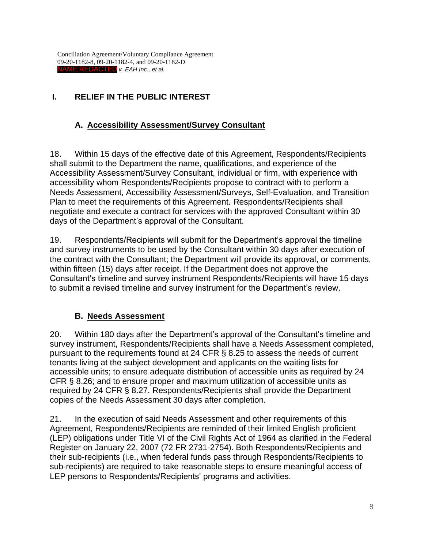# **I. RELIEF IN THE PUBLIC INTEREST**

## **A. Accessibility Assessment/Survey Consultant**

18. Within 15 days of the effective date of this Agreement, Respondents/Recipients shall submit to the Department the name, qualifications, and experience of the Accessibility Assessment/Survey Consultant, individual or firm, with experience with accessibility whom Respondents/Recipients propose to contract with to perform a Needs Assessment, Accessibility Assessment/Surveys, Self-Evaluation, and Transition Plan to meet the requirements of this Agreement. Respondents/Recipients shall negotiate and execute a contract for services with the approved Consultant within 30 days of the Department's approval of the Consultant.

19. Respondents/Recipients will submit for the Department's approval the timeline and survey instruments to be used by the Consultant within 30 days after execution of the contract with the Consultant; the Department will provide its approval, or comments, within fifteen (15) days after receipt. If the Department does not approve the Consultant's timeline and survey instrument Respondents/Recipients will have 15 days to submit a revised timeline and survey instrument for the Department's review.

## **B. Needs Assessment**

20. Within 180 days after the Department's approval of the Consultant's timeline and survey instrument, Respondents/Recipients shall have a Needs Assessment completed, pursuant to the requirements found at 24 CFR § 8.25 to assess the needs of current tenants living at the subject development and applicants on the waiting lists for accessible units; to ensure adequate distribution of accessible units as required by 24 CFR § 8.26; and to ensure proper and maximum utilization of accessible units as required by 24 CFR § 8.27. Respondents/Recipients shall provide the Department copies of the Needs Assessment 30 days after completion.

21. In the execution of said Needs Assessment and other requirements of this Agreement, Respondents/Recipients are reminded of their limited English proficient (LEP) obligations under Title VI of the Civil Rights Act of 1964 as clarified in the Federal Register on January 22, 2007 (72 FR 2731-2754). Both Respondents/Recipients and their sub-recipients (i.e., when federal funds pass through Respondents/Recipients to sub-recipients) are required to take reasonable steps to ensure meaningful access of LEP persons to Respondents/Recipients' programs and activities.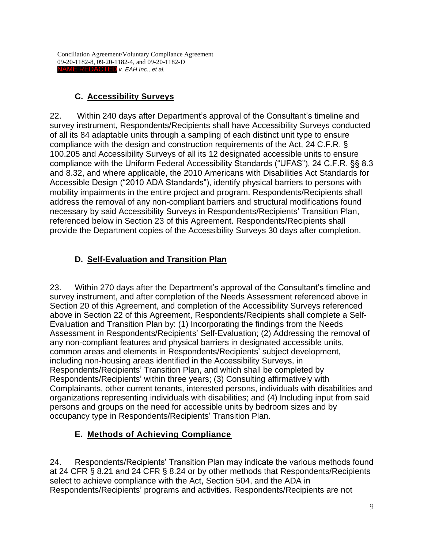# **C. Accessibility Surveys**

22. Within 240 days after Department's approval of the Consultant's timeline and survey instrument, Respondents/Recipients shall have Accessibility Surveys conducted of all its 84 adaptable units through a sampling of each distinct unit type to ensure compliance with the design and construction requirements of the Act, 24 C.F.R. § 100.205 and Accessibility Surveys of all its 12 designated accessible units to ensure compliance with the Uniform Federal Accessibility Standards ("UFAS"), 24 C.F.R. §§ 8.3 and 8.32, and where applicable, the 2010 Americans with Disabilities Act Standards for Accessible Design ("2010 ADA Standards"), identify physical barriers to persons with mobility impairments in the entire project and program. Respondents/Recipients shall address the removal of any non-compliant barriers and structural modifications found necessary by said Accessibility Surveys in Respondents/Recipients' Transition Plan, referenced below in Section 23 of this Agreement. Respondents/Recipients shall provide the Department copies of the Accessibility Surveys 30 days after completion.

# **D. Self-Evaluation and Transition Plan**

23. Within 270 days after the Department's approval of the Consultant's timeline and survey instrument, and after completion of the Needs Assessment referenced above in Section 20 of this Agreement, and completion of the Accessibility Surveys referenced above in Section 22 of this Agreement, Respondents/Recipients shall complete a Self-Evaluation and Transition Plan by: (1) Incorporating the findings from the Needs Assessment in Respondents/Recipients' Self-Evaluation; (2) Addressing the removal of any non-compliant features and physical barriers in designated accessible units, common areas and elements in Respondents/Recipients' subject development, including non-housing areas identified in the Accessibility Surveys, in Respondents/Recipients' Transition Plan, and which shall be completed by Respondents/Recipients' within three years; (3) Consulting affirmatively with Complainants, other current tenants, interested persons, individuals with disabilities and organizations representing individuals with disabilities; and (4) Including input from said persons and groups on the need for accessible units by bedroom sizes and by occupancy type in Respondents/Recipients' Transition Plan.

## **E. Methods of Achieving Compliance**

24. Respondents/Recipients' Transition Plan may indicate the various methods found at 24 CFR § 8.21 and 24 CFR § 8.24 or by other methods that Respondents/Recipients select to achieve compliance with the Act, Section 504, and the ADA in Respondents/Recipients' programs and activities. Respondents/Recipients are not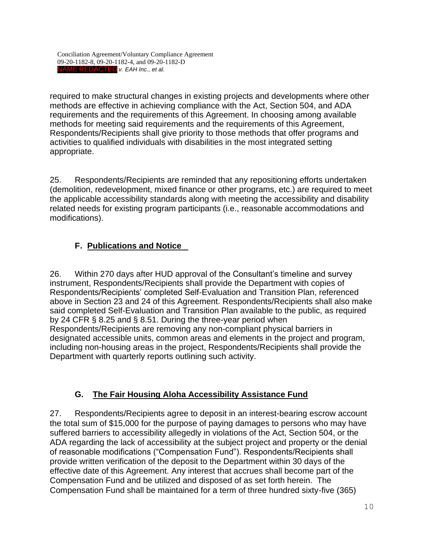required to make structural changes in existing projects and developments where other methods are effective in achieving compliance with the Act, Section 504, and ADA requirements and the requirements of this Agreement. In choosing among available methods for meeting said requirements and the requirements of this Agreement, Respondents/Recipients shall give priority to those methods that offer programs and activities to qualified individuals with disabilities in the most integrated setting appropriate.

25. Respondents/Recipients are reminded that any repositioning efforts undertaken (demolition, redevelopment, mixed finance or other programs, etc.) are required to meet the applicable accessibility standards along with meeting the accessibility and disability related needs for existing program participants (i.e., reasonable accommodations and modifications).

# **F. Publications and Notice**

26. Within 270 days after HUD approval of the Consultant's timeline and survey instrument, Respondents/Recipients shall provide the Department with copies of Respondents/Recipients' completed Self-Evaluation and Transition Plan, referenced above in Section 23 and 24 of this Agreement. Respondents/Recipients shall also make said completed Self-Evaluation and Transition Plan available to the public, as required by 24 CFR § 8.25 and § 8.51. During the three-year period when Respondents/Recipients are removing any non-compliant physical barriers in designated accessible units, common areas and elements in the project and program, including non-housing areas in the project, Respondents/Recipients shall provide the Department with quarterly reports outlining such activity.

## **G. The Fair Housing Aloha Accessibility Assistance Fund**

27. Respondents/Recipients agree to deposit in an interest-bearing escrow account the total sum of \$15,000 for the purpose of paying damages to persons who may have suffered barriers to accessibility allegedly in violations of the Act, Section 504, or the ADA regarding the lack of accessibility at the subject project and property or the denial of reasonable modifications ("Compensation Fund"). Respondents/Recipients shall provide written verification of the deposit to the Department within 30 days of the effective date of this Agreement. Any interest that accrues shall become part of the Compensation Fund and be utilized and disposed of as set forth herein. The Compensation Fund shall be maintained for a term of three hundred sixty-five (365)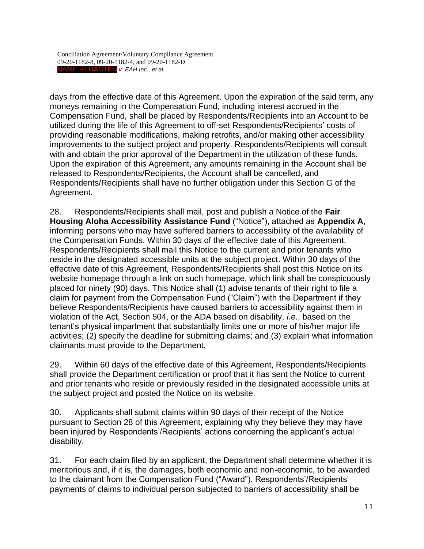days from the effective date of this Agreement. Upon the expiration of the said term, any moneys remaining in the Compensation Fund, including interest accrued in the Compensation Fund, shall be placed by Respondents/Recipients into an Account to be utilized during the life of this Agreement to off-set Respondents/Recipients' costs of providing reasonable modifications, making retrofits, and/or making other accessibility improvements to the subject project and property. Respondents/Recipients will consult with and obtain the prior approval of the Department in the utilization of these funds. Upon the expiration of this Agreement, any amounts remaining in the Account shall be released to Respondents/Recipients, the Account shall be cancelled, and Respondents/Recipients shall have no further obligation under this Section G of the Agreement.

28. Respondents/Recipients shall mail, post and publish a Notice of the **Fair Housing Aloha Accessibility Assistance Fund** ("Notice"), attached as **Appendix A**, informing persons who may have suffered barriers to accessibility of the availability of the Compensation Funds. Within 30 days of the effective date of this Agreement, Respondents/Recipients shall mail this Notice to the current and prior tenants who reside in the designated accessible units at the subject project. Within 30 days of the effective date of this Agreement, Respondents/Recipients shall post this Notice on its website homepage through a link on such homepage, which link shall be conspicuously placed for ninety (90) days. This Notice shall (1) advise tenants of their right to file a claim for payment from the Compensation Fund ("Claim") with the Department if they believe Respondents/Recipients have caused barriers to accessibility against them in violation of the Act, Section 504, or the ADA based on disability, *i.e.*, based on the tenant's physical impartment that substantially limits one or more of his/her major life activities; (2) specify the deadline for submitting claims; and (3) explain what information claimants must provide to the Department.

29. Within 60 days of the effective date of this Agreement, Respondents/Recipients shall provide the Department certification or proof that it has sent the Notice to current and prior tenants who reside or previously resided in the designated accessible units at the subject project and posted the Notice on its website.

30. Applicants shall submit claims within 90 days of their receipt of the Notice pursuant to Section 28 of this Agreement, explaining why they believe they may have been injured by Respondents'/Recipients' actions concerning the applicant's actual disability.

31. For each claim filed by an applicant, the Department shall determine whether it is meritorious and, if it is, the damages, both economic and non-economic, to be awarded to the claimant from the Compensation Fund ("Award"). Respondents'/Recipients' payments of claims to individual person subjected to barriers of accessibility shall be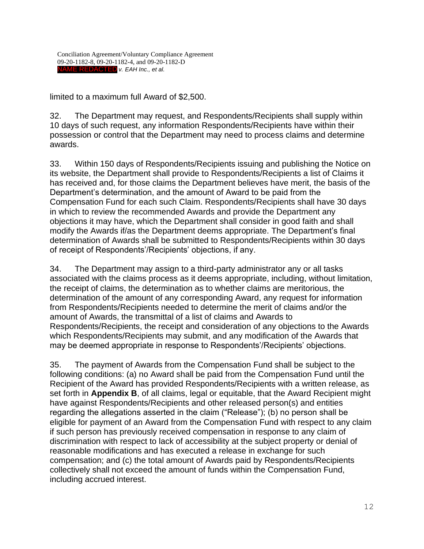limited to a maximum full Award of \$2,500.

32. The Department may request, and Respondents/Recipients shall supply within 10 days of such request, any information Respondents/Recipients have within their possession or control that the Department may need to process claims and determine awards.

33. Within 150 days of Respondents/Recipients issuing and publishing the Notice on its website, the Department shall provide to Respondents/Recipients a list of Claims it has received and, for those claims the Department believes have merit, the basis of the Department's determination, and the amount of Award to be paid from the Compensation Fund for each such Claim. Respondents/Recipients shall have 30 days in which to review the recommended Awards and provide the Department any objections it may have, which the Department shall consider in good faith and shall modify the Awards if/as the Department deems appropriate. The Department's final determination of Awards shall be submitted to Respondents/Recipients within 30 days of receipt of Respondents'/Recipients' objections, if any.

34. The Department may assign to a third-party administrator any or all tasks associated with the claims process as it deems appropriate, including, without limitation, the receipt of claims, the determination as to whether claims are meritorious, the determination of the amount of any corresponding Award, any request for information from Respondents/Recipients needed to determine the merit of claims and/or the amount of Awards, the transmittal of a list of claims and Awards to Respondents/Recipients, the receipt and consideration of any objections to the Awards which Respondents/Recipients may submit, and any modification of the Awards that may be deemed appropriate in response to Respondents'/Recipients' objections.

35. The payment of Awards from the Compensation Fund shall be subject to the following conditions: (a) no Award shall be paid from the Compensation Fund until the Recipient of the Award has provided Respondents/Recipients with a written release, as set forth in **Appendix B**, of all claims, legal or equitable, that the Award Recipient might have against Respondents/Recipients and other released person(s) and entities regarding the allegations asserted in the claim ("Release"); (b) no person shall be eligible for payment of an Award from the Compensation Fund with respect to any claim if such person has previously received compensation in response to any claim of discrimination with respect to lack of accessibility at the subject property or denial of reasonable modifications and has executed a release in exchange for such compensation; and (c) the total amount of Awards paid by Respondents/Recipients collectively shall not exceed the amount of funds within the Compensation Fund, including accrued interest.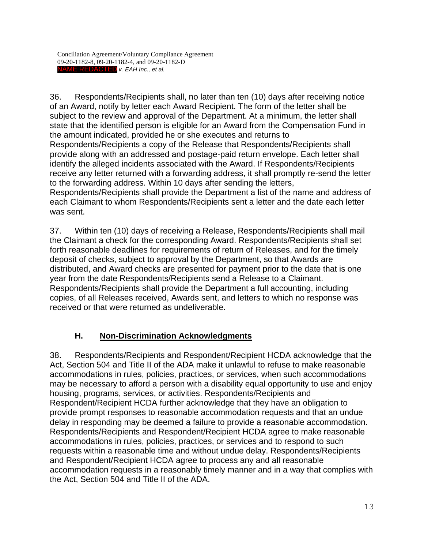36. Respondents/Recipients shall, no later than ten (10) days after receiving notice of an Award, notify by letter each Award Recipient. The form of the letter shall be subject to the review and approval of the Department. At a minimum, the letter shall state that the identified person is eligible for an Award from the Compensation Fund in the amount indicated, provided he or she executes and returns to Respondents/Recipients a copy of the Release that Respondents/Recipients shall provide along with an addressed and postage-paid return envelope. Each letter shall identify the alleged incidents associated with the Award. If Respondents/Recipients receive any letter returned with a forwarding address, it shall promptly re-send the letter to the forwarding address. Within 10 days after sending the letters, Respondents/Recipients shall provide the Department a list of the name and address of each Claimant to whom Respondents/Recipients sent a letter and the date each letter was sent.

37. Within ten (10) days of receiving a Release, Respondents/Recipients shall mail the Claimant a check for the corresponding Award. Respondents/Recipients shall set forth reasonable deadlines for requirements of return of Releases, and for the timely deposit of checks, subject to approval by the Department, so that Awards are distributed, and Award checks are presented for payment prior to the date that is one year from the date Respondents/Recipients send a Release to a Claimant. Respondents/Recipients shall provide the Department a full accounting, including copies, of all Releases received, Awards sent, and letters to which no response was received or that were returned as undeliverable.

## **H. Non-Discrimination Acknowledgments**

38. Respondents/Recipients and Respondent/Recipient HCDA acknowledge that the Act, Section 504 and Title II of the ADA make it unlawful to refuse to make reasonable accommodations in rules, policies, practices, or services, when such accommodations may be necessary to afford a person with a disability equal opportunity to use and enjoy housing, programs, services, or activities. Respondents/Recipients and Respondent/Recipient HCDA further acknowledge that they have an obligation to provide prompt responses to reasonable accommodation requests and that an undue delay in responding may be deemed a failure to provide a reasonable accommodation. Respondents/Recipients and Respondent/Recipient HCDA agree to make reasonable accommodations in rules, policies, practices, or services and to respond to such requests within a reasonable time and without undue delay. Respondents/Recipients and Respondent/Recipient HCDA agree to process any and all reasonable accommodation requests in a reasonably timely manner and in a way that complies with the Act, Section 504 and Title II of the ADA.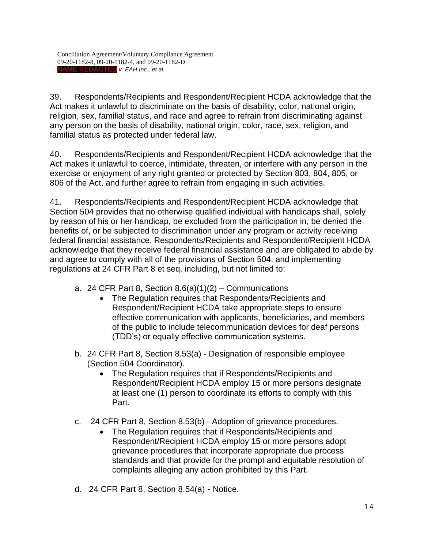39. Respondents/Recipients and Respondent/Recipient HCDA acknowledge that the Act makes it unlawful to discriminate on the basis of disability, color, national origin, religion, sex, familial status, and race and agree to refrain from discriminating against any person on the basis of disability, national origin, color, race, sex, religion, and familial status as protected under federal law.

40. Respondents/Recipients and Respondent/Recipient HCDA acknowledge that the Act makes it unlawful to coerce, intimidate, threaten, or interfere with any person in the exercise or enjoyment of any right granted or protected by Section 803, 804, 805, or 806 of the Act, and further agree to refrain from engaging in such activities.

41. Respondents/Recipients and Respondent/Recipient HCDA acknowledge that Section 504 provides that no otherwise qualified individual with handicaps shall, solely by reason of his or her handicap, be excluded from the participation in, be denied the benefits of, or be subjected to discrimination under any program or activity receiving federal financial assistance. Respondents/Recipients and Respondent/Recipient HCDA acknowledge that they receive federal financial assistance and are obligated to abide by and agree to comply with all of the provisions of Section 504, and implementing regulations at 24 CFR Part 8 et seq. including, but not limited to:

- a. 24 CFR Part 8, Section  $8.6(a)(1)(2)$  Communications
	- The Regulation requires that Respondents/Recipients and Respondent/Recipient HCDA take appropriate steps to ensure effective communication with applicants, beneficiaries, and members of the public to include telecommunication devices for deaf persons (TDD's) or equally effective communication systems.
- b. 24 CFR Part 8, Section 8.53(a) Designation of responsible employee (Section 504 Coordinator).
	- The Regulation requires that if Respondents/Recipients and Respondent/Recipient HCDA employ 15 or more persons designate at least one (1) person to coordinate its efforts to comply with this Part.
- c. 24 CFR Part 8, Section 8.53(b) Adoption of grievance procedures.
	- The Regulation requires that if Respondents/Recipients and Respondent/Recipient HCDA employ 15 or more persons adopt grievance procedures that incorporate appropriate due process standards and that provide for the prompt and equitable resolution of complaints alleging any action prohibited by this Part.
- d. 24 CFR Part 8, Section 8.54(a) Notice.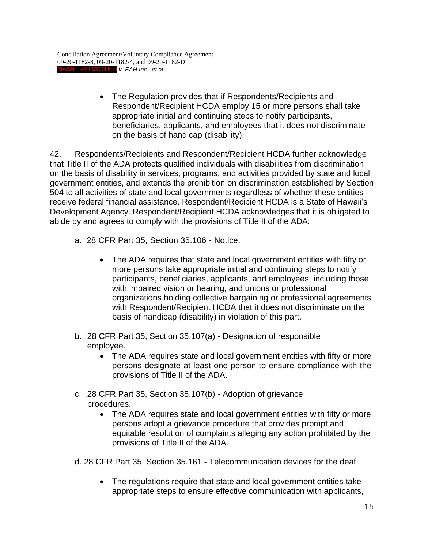• The Regulation provides that if Respondents/Recipients and Respondent/Recipient HCDA employ 15 or more persons shall take appropriate initial and continuing steps to notify participants, beneficiaries, applicants, and employees that it does not discriminate on the basis of handicap (disability).

42. Respondents/Recipients and Respondent/Recipient HCDA further acknowledge that Title II of the ADA protects qualified individuals with disabilities from discrimination on the basis of disability in services, programs, and activities provided by state and local government entities, and extends the prohibition on discrimination established by Section 504 to all activities of state and local governments regardless of whether these entities receive federal financial assistance. Respondent/Recipient HCDA is a State of Hawaii's Development Agency. Respondent/Recipient HCDA acknowledges that it is obligated to abide by and agrees to comply with the provisions of Title II of the ADA:

- a. 28 CFR Part 35, Section 35.106 Notice.
	- The ADA requires that state and local government entities with fifty or more persons take appropriate initial and continuing steps to notify participants, beneficiaries, applicants, and employees, including those with impaired vision or hearing, and unions or professional organizations holding collective bargaining or professional agreements with Respondent/Recipient HCDA that it does not discriminate on the basis of handicap (disability) in violation of this part.
- b. 28 CFR Part 35, Section 35.107(a) Designation of responsible employee.
	- The ADA requires state and local government entities with fifty or more persons designate at least one person to ensure compliance with the provisions of Title II of the ADA.
- c. 28 CFR Part 35, Section 35.107(b) Adoption of grievance procedures.
	- The ADA requires state and local government entities with fifty or more persons adopt a grievance procedure that provides prompt and equitable resolution of complaints alleging any action prohibited by the provisions of Title II of the ADA.
- d. 28 CFR Part 35, Section 35.161 Telecommunication devices for the deaf.
	- The regulations require that state and local government entities take appropriate steps to ensure effective communication with applicants,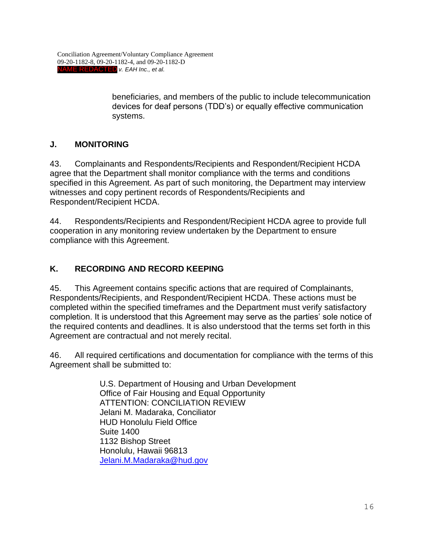beneficiaries, and members of the public to include telecommunication devices for deaf persons (TDD's) or equally effective communication systems.

### **J. MONITORING**

43. Complainants and Respondents/Recipients and Respondent/Recipient HCDA agree that the Department shall monitor compliance with the terms and conditions specified in this Agreement. As part of such monitoring, the Department may interview witnesses and copy pertinent records of Respondents/Recipients and Respondent/Recipient HCDA.

44. Respondents/Recipients and Respondent/Recipient HCDA agree to provide full cooperation in any monitoring review undertaken by the Department to ensure compliance with this Agreement.

## **K. RECORDING AND RECORD KEEPING**

45. This Agreement contains specific actions that are required of Complainants, Respondents/Recipients, and Respondent/Recipient HCDA. These actions must be completed within the specified timeframes and the Department must verify satisfactory completion. It is understood that this Agreement may serve as the parties' sole notice of the required contents and deadlines. It is also understood that the terms set forth in this Agreement are contractual and not merely recital.

46. All required certifications and documentation for compliance with the terms of this Agreement shall be submitted to:

> U.S. Department of Housing and Urban Development Office of Fair Housing and Equal Opportunity ATTENTION: CONCILIATION REVIEW Jelani M. Madaraka, Conciliator HUD Honolulu Field Office Suite 1400 1132 Bishop Street Honolulu, Hawaii 96813 [Jelani.M.Madaraka@hud.gov](mailto:Jelani.M.Madaraka@hud.gov)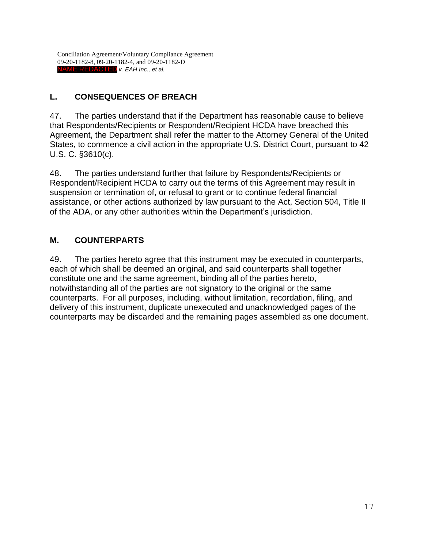# **L. CONSEQUENCES OF BREACH**

47. The parties understand that if the Department has reasonable cause to believe that Respondents/Recipients or Respondent/Recipient HCDA have breached this Agreement, the Department shall refer the matter to the Attorney General of the United States, to commence a civil action in the appropriate U.S. District Court, pursuant to 42 U.S. C. §3610(c).

48. The parties understand further that failure by Respondents/Recipients or Respondent/Recipient HCDA to carry out the terms of this Agreement may result in suspension or termination of, or refusal to grant or to continue federal financial assistance, or other actions authorized by law pursuant to the Act, Section 504, Title II of the ADA, or any other authorities within the Department's jurisdiction.

### **M. COUNTERPARTS**

49. The parties hereto agree that this instrument may be executed in counterparts, each of which shall be deemed an original, and said counterparts shall together constitute one and the same agreement, binding all of the parties hereto, notwithstanding all of the parties are not signatory to the original or the same counterparts. For all purposes, including, without limitation, recordation, filing, and delivery of this instrument, duplicate unexecuted and unacknowledged pages of the counterparts may be discarded and the remaining pages assembled as one document.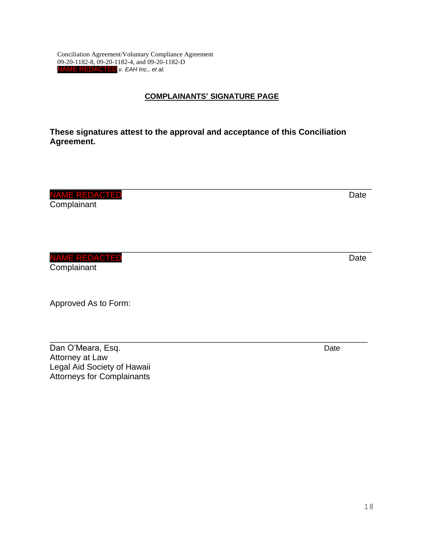#### **COMPLAINANTS' SIGNATURE PAGE**

**These signatures attest to the approval and acceptance of this Conciliation Agreement.** 

\_\_\_\_\_\_\_\_\_\_\_\_\_\_\_\_\_\_\_\_\_\_\_\_\_\_\_\_\_\_\_\_\_\_\_\_\_\_\_\_\_\_\_\_\_\_\_\_\_\_\_\_\_\_\_\_\_\_\_\_\_\_\_\_\_\_\_\_\_\_\_\_\_\_\_\_ NAME REDACTED Date

**Complainant** 

\_\_\_\_\_\_\_\_\_\_\_\_\_\_\_\_\_\_\_\_\_\_\_\_\_\_\_\_\_\_\_\_\_\_\_\_\_\_\_\_\_\_\_\_\_\_\_\_\_\_\_\_\_\_\_\_\_\_\_\_\_\_\_\_\_\_\_\_\_\_\_\_\_\_\_\_ NAME REDACTED Date Date Date Date Date **Complainant** 

Approved As to Form:

| Dan O'Meara, Esq.                 | Date |
|-----------------------------------|------|
| Attorney at Law                   |      |
| Legal Aid Society of Hawaii       |      |
| <b>Attorneys for Complainants</b> |      |

\_\_\_\_\_\_\_\_\_\_\_\_\_\_\_\_\_\_\_\_\_\_\_\_\_\_\_\_\_\_\_\_\_\_\_\_\_\_\_\_\_\_\_\_\_\_\_\_\_\_\_\_\_\_\_\_\_\_\_\_\_\_\_\_\_\_\_\_\_\_\_\_\_\_\_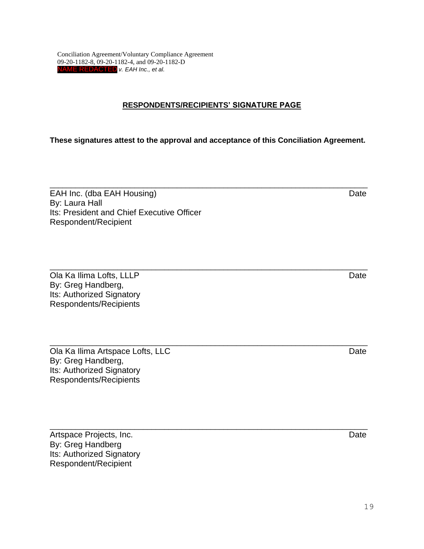#### **RESPONDENTS/RECIPIENTS' SIGNATURE PAGE**

**These signatures attest to the approval and acceptance of this Conciliation Agreement.** 

\_\_\_\_\_\_\_\_\_\_\_\_\_\_\_\_\_\_\_\_\_\_\_\_\_\_\_\_\_\_\_\_\_\_\_\_\_\_\_\_\_\_\_\_\_\_\_\_\_\_\_\_\_\_\_\_\_\_\_\_\_\_\_\_\_\_\_\_\_\_\_\_\_\_\_

\_\_\_\_\_\_\_\_\_\_\_\_\_\_\_\_\_\_\_\_\_\_\_\_\_\_\_\_\_\_\_\_\_\_\_\_\_\_\_\_\_\_\_\_\_\_\_\_\_\_\_\_\_\_\_\_\_\_\_\_\_\_\_\_\_\_\_\_\_\_\_\_\_\_\_

| EAH Inc. (dba EAH Housing)                 | Date |
|--------------------------------------------|------|
| By: Laura Hall                             |      |
| Its: President and Chief Executive Officer |      |
| Respondent/Recipient                       |      |

\_\_\_\_\_\_\_\_\_\_\_\_\_\_\_\_\_\_\_\_\_\_\_\_\_\_\_\_\_\_\_\_\_\_\_\_\_\_\_\_\_\_\_\_\_\_\_\_\_\_\_\_\_\_\_\_\_\_\_\_\_\_\_\_\_\_\_\_\_\_\_\_\_\_\_ Ola Ka Ilima Lofts, LLLP Date By: Greg Handberg, Its: Authorized Signatory Respondents/Recipients

\_\_\_\_\_\_\_\_\_\_\_\_\_\_\_\_\_\_\_\_\_\_\_\_\_\_\_\_\_\_\_\_\_\_\_\_\_\_\_\_\_\_\_\_\_\_\_\_\_\_\_\_\_\_\_\_\_\_\_\_\_\_\_\_\_\_\_\_\_\_\_\_\_\_\_ Ola Ka Ilima Artspace Lofts, LLC Date Context Context Context Context Context Context Context Context Context Context Context Context Context Context Context Context Context Context Context Context Context Context Context By: Greg Handberg, Its: Authorized Signatory Respondents/Recipients

Artspace Projects, Inc. **Date** By: Greg Handberg Its: Authorized Signatory Respondent/Recipient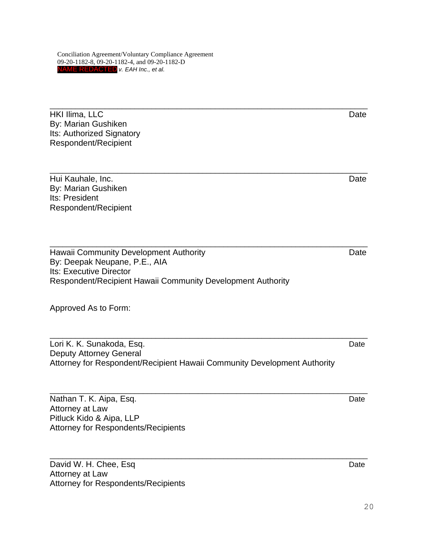\_\_\_\_\_\_\_\_\_\_\_\_\_\_\_\_\_\_\_\_\_\_\_\_\_\_\_\_\_\_\_\_\_\_\_\_\_\_\_\_\_\_\_\_\_\_\_\_\_\_\_\_\_\_\_\_\_\_\_\_\_\_\_\_\_\_\_\_\_\_\_\_\_\_\_ HKI Ilima, LLC Date By: Marian Gushiken Its: Authorized Signatory Respondent/Recipient

Hui Kauhale, Inc. Date By: Marian Gushiken Its: President Respondent/Recipient

Hawaii Community Development Authority **Date Date** By: Deepak Neupane, P.E., AIA Its: Executive Director Respondent/Recipient Hawaii Community Development Authority

Approved As to Form:

\_\_\_\_\_\_\_\_\_\_\_\_\_\_\_\_\_\_\_\_\_\_\_\_\_\_\_\_\_\_\_\_\_\_\_\_\_\_\_\_\_\_\_\_\_\_\_\_\_\_\_\_\_\_\_\_\_\_\_\_\_\_\_\_\_\_\_\_\_\_\_\_\_\_\_ Lori K. K. Sunakoda, Esq. Date Deputy Attorney General Attorney for Respondent/Recipient Hawaii Community Development Authority

\_\_\_\_\_\_\_\_\_\_\_\_\_\_\_\_\_\_\_\_\_\_\_\_\_\_\_\_\_\_\_\_\_\_\_\_\_\_\_\_\_\_\_\_\_\_\_\_\_\_\_\_\_\_\_\_\_\_\_\_\_\_\_\_\_\_\_\_\_\_\_\_\_\_\_

\_\_\_\_\_\_\_\_\_\_\_\_\_\_\_\_\_\_\_\_\_\_\_\_\_\_\_\_\_\_\_\_\_\_\_\_\_\_\_\_\_\_\_\_\_\_\_\_\_\_\_\_\_\_\_\_\_\_\_\_\_\_\_\_\_\_\_\_\_\_\_\_\_\_\_

\_\_\_\_\_\_\_\_\_\_\_\_\_\_\_\_\_\_\_\_\_\_\_\_\_\_\_\_\_\_\_\_\_\_\_\_\_\_\_\_\_\_\_\_\_\_\_\_\_\_\_\_\_\_\_\_\_\_\_\_\_\_\_\_\_\_\_\_\_\_\_\_\_\_\_

\_\_\_\_\_\_\_\_\_\_\_\_\_\_\_\_\_\_\_\_\_\_\_\_\_\_\_\_\_\_\_\_\_\_\_\_\_\_\_\_\_\_\_\_\_\_\_\_\_\_\_\_\_\_\_\_\_\_\_\_\_\_\_\_\_\_\_\_\_\_\_\_\_\_\_

Nathan T. K. Aipa, Esq. Date and the state of the state of the state of the state of the state of the state of the state of the state of the state of the state of the state of the state of the state of the state of the sta Attorney at Law Pitluck Kido & Aipa, LLP Attorney for Respondents/Recipients

David W. H. Chee, Esq **Date** Date **Date** Date **Date** Date **Date** Attorney at Law Attorney for Respondents/Recipients

20